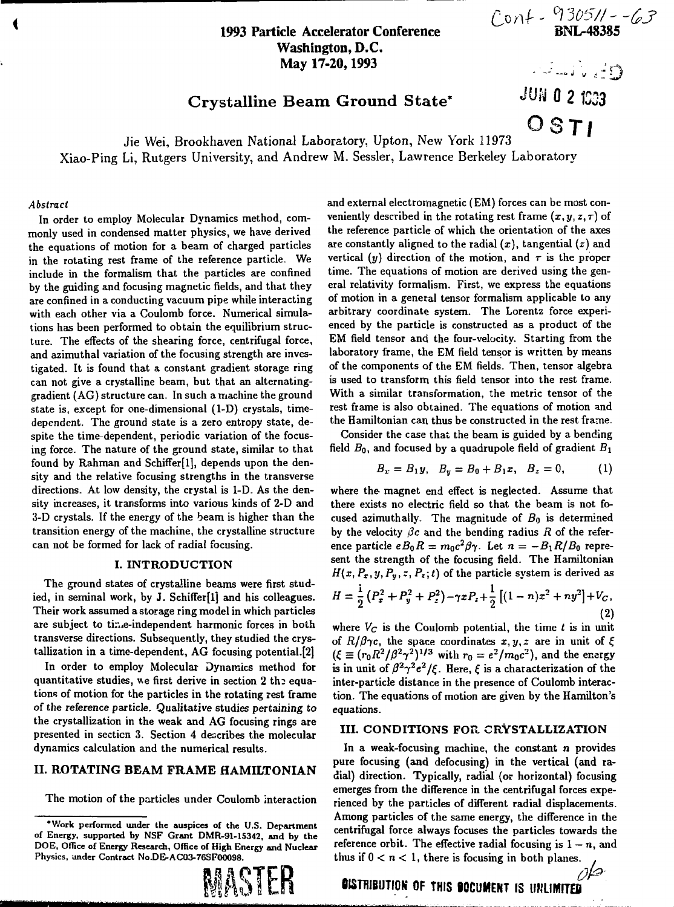## **1993 Particle Accelerator Conference Washington, D.C. May 17-20,1993**

 $Cov1 - \frac{9305}{11} - \frac{63}{63}$ 

 $\sim$  ...  $\sim$  ...

*IUU* **0 2 C33**

# Crystalline Beam Ground State\*

OSTI Jie Wei, Brookhaven National Laboratory, Upton, New York 11973 Xiao-Ping Li, Rutgers University, and Andrew M. Sessler, Lawrence Berkeley Laboratory

#### *Abstract*

In order to employ Molecular Dynamics method, commonly used in condensed matter physics, we have derived the equations of motion for a beam of charged particles in the rotating rest frame of the reference particle. We include in the formalism that the particles are confined by the guiding and focusing magnetic fields, and that they are confined in a conducting vacuum pipe while interacting with each other via a Coulomb force. Numerical simulations has been performed to obtain the equilibrium structure. The effects of the shearing force, centrifugal force, and azimuthal variation of the focusing strength are investigated. It is found that a constant gradient storage ring can not give a crystalline beam, but that an alternatinggradient (AG) structure can. In such a machine the ground state is, except for one-dimensional (1-D) crystals, timedependent. The ground state is a zero entropy state, despite the time-dependent, periodic variation of the focusing force. The nature of the ground state, similar to that found by Rahman and Schiffer[l], depends upon the density and the relative focusing strengths in the transverse directions. At low density, the crystal is 1-D. As the density increases, it transforms into various kinds of 2-D and 3-D crystals. If the energy of the beam is higher than the transition energy of the machine, the crystalline structure can not be formed for lack of radial focusing.

## I. **INTRODUCTION**

The ground states of crystalline beams were first studied, in seminal work, by J. Schiffer[l] and his colleagues. Their work assumed a storage ring model in which particles are subject to time-independent harmonic forces in both transverse directions. Subsequently, they studied the crystallization in a time-dependent, AG focusing potential.[2]

In order to employ Molecular Dynamics method for quantitative studies, we first derive in section 2 the equations of motion for the particles in the rotating rest frame of the reference particle. Qualitative studies pertaining to the crystallization in the weak and AG focusing rings are presented in section 3. Section 4 describes the molecular dynamics calculation and the numerical results.

### **II. ROTATING BEAM FRAME HAMILTONIAN**

The motion of the particles under Coulomb interaction

**'Work performed under the auspices of the U.S. Department of Energy, supported by NSF Grant DMR-91-15342, and by the DOE, Office of Energy Research, Office of High Energy and Nuclear Physics, under Contract No.DE-AC03-76SF00098.**



and external electromagnetic (EM) forces can be most conveniently described in the rotating rest frame  $(x, y, z, \tau)$  of the reference particle of which the orientation of the axes are constantly aligned to the radial *(x),* tangential *(z)* and vertical (y) direction of the motion, and  $\tau$  is the proper time. The equations of motion are derived using the general relativity formalism. First, we express the equations of motion in a general tensor formalism applicable to any arbitrary coordinate system. The Lorentz force experienced by the particle is constructed as a product of the EM field tensor and the four-velocity. Starting from the laboratory frame, the EM field tensor is written by means of the components of the EM fields. Then, tensor algebra is used to transform this field tensor into the rest frame. With a similar transformation, the metric tensor of the rest frame is also obtained. The equations of motion and the Hamiltonian can thus be constructed in the rest frame.

Consider the case that the beam is guided by a bending field  $B_0$ , and focused by a quadrupole field of gradient  $B_1$ 

$$
B_x = B_1 y, \quad B_y = B_0 + B_1 x, \quad B_z = 0,
$$
 (1)

where the magnet end effect is neglected. Assume that there exists no electric field so that the beam is not focused azimuthally. The magnitude of *Bo* is determined by the velocity  $\beta c$  and the bending radius R of the reference particle  $eB_0R = m_0c^2\beta\gamma$ . Let  $n = -B_1R/B_0$  represent the strength of the focusing field. The Hamiltonian  $H(x, P_x, y, P_y, z, P_z; t)$  of the particle system is derived as

$$
H = \frac{1}{2} \left( P_x^2 + P_y^2 + P_z^2 \right) - \gamma x P_z + \frac{1}{2} \left[ (1 - n)x^2 + n y^2 \right] + V_C, \tag{2}
$$

where  $V_C$  is the Coulomb potential, the time  $t$  is in unit of  $R/\beta\gamma c$ , the space coordinates  $x, y, z$  are in unit of  $\xi$  $(\xi \equiv (r_0 R^2/\beta^2 \gamma^2)^{1/3}$  with  $r_0 = e^2/m_0 c^2$ ), and the energy is in unit of  $\beta^2 \gamma^2 e^2/\xi$ . Here,  $\xi$  is a characterization of the inter-particle distance in the presence of Coulomb interaction. The equations of motion are given by the Hamilton's equations.

#### **III. CONDITIONS FOR. CRYSTALLIZATION**

**In** a weak-focusing machine, the constant n provides pure focusing (and defocusing) in the vertical (and radial) direction. Typically, radial (or horizontal) focusing emerges from the difference in the centrifugal forces experienced by the particles of different radial displacements. Among particles of the same energy, the difference in the centrifugal force always focuses the particles towards the reference orbit. The effective radial focusing is  $1 - n$ , and thus if  $0 < n < 1$ , there is focusing in both planes.

**OISTRIBUTION OF THIS BOCUMENT IS UNLIMITED**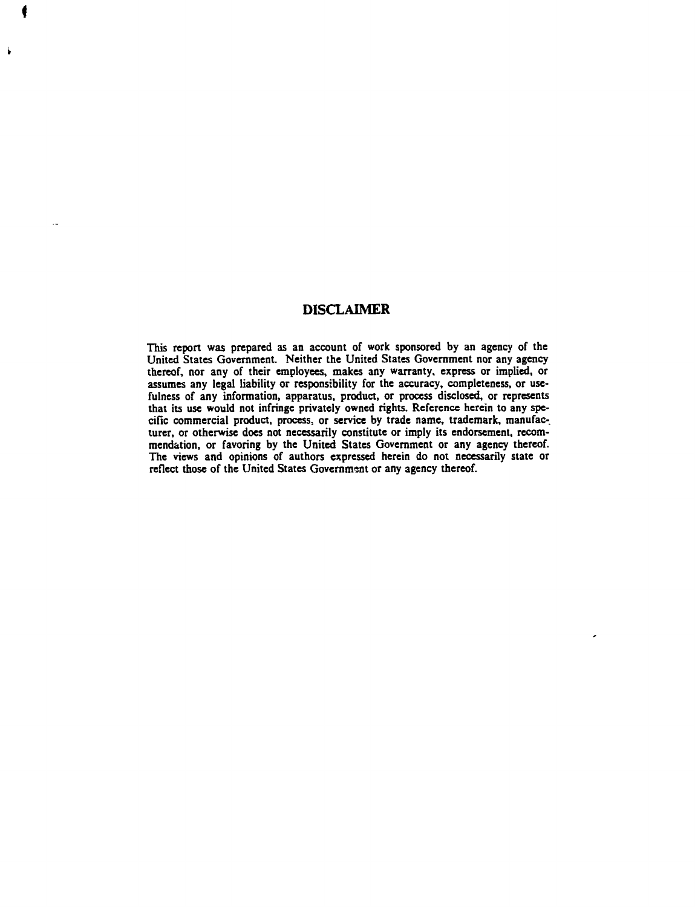## **DISCLAIMER**

**This report was prepared as an account of work sponsored by an agency of the United States Government Neither the United States Government nor any agency thereof, nor any of their employees, makes any warranty, express or implied, or assumes any legal liability or responsibility for the accuracy, completeness, or usefulness of any information, apparatus, product, or process disclosed, or represents** that its use would not infringe privately owned rights. Reference herein to any spe**cific commercial product, process, or service by trade name, trademark, manufacturer, or otherwise does not necessarily constitute or imply its endorsement, recommendation, or favoring by the United States Government or any agency thereof. The views and opinions of authors expressed herein do not necessarily state or reflect those of the United States Government or any agency thereof.**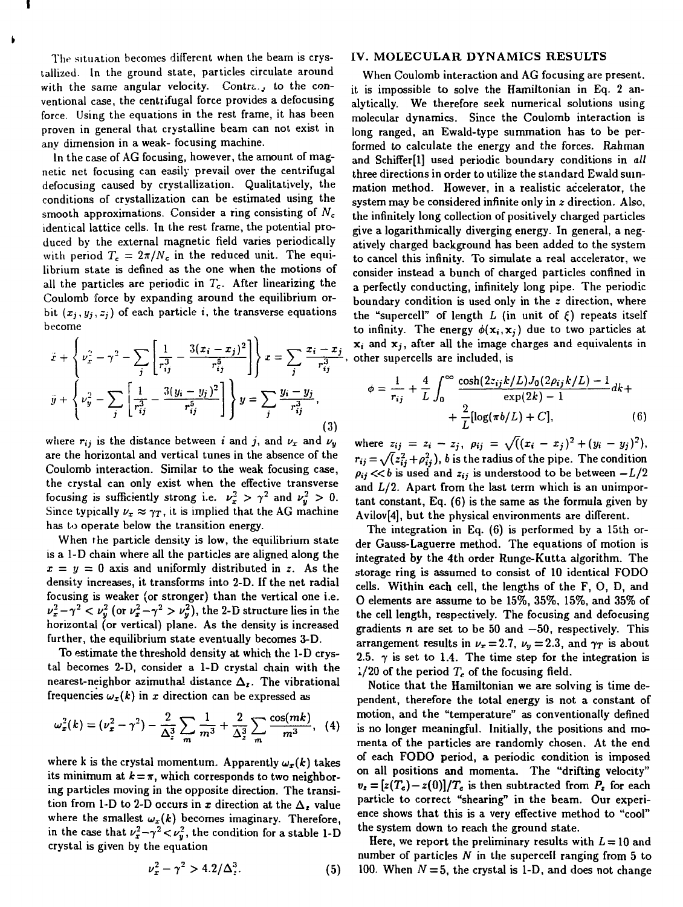The situation becomes different when the beam is crystallized. In the ground state, particles circulate around with the same angular velocity. Contra., to the conventional case, the centrifugal force provides a defocusing force. Using the equations in the rest frame, it has been proven in general that crystalline beam can not exist in any dimension in a weak- focusing machine.

In the case of AG focusing, however, the amount of magnetic net focusing can easily prevail over the centrifugal defocusing caused by crystallization. Qualitatively, the conditions of crystallization can be estimated using the smooth approximations. Consider a ring consisting of *N<sup>c</sup>* identical lattice cells. In the rest frame, the potential produced by the external magnetic field varies periodically with period  $T_c = 2\pi/N_c$  in the reduced unit. The equilibrium state is defined as the one when the motions of all the particles are periodic in *Tc.* After linearizing the Coulomb force by expanding around the equilibrium orbit  $(x_i, y_i, z_i)$  of each particle *i*, the transverse equations become

$$
\ddot{x} + \left\{ \nu_x^2 - \gamma^2 - \sum_j \left[ \frac{1}{r_{ij}^3} - \frac{3(x_i - x_j)^2}{r_{ij}^5} \right] \right\} x = \sum_j \frac{x_i - x_j}{r_{ij}^3}
$$
\n
$$
\ddot{y} + \left\{ \nu_y^2 - \sum_j \left[ \frac{1}{r_{ij}^3} - \frac{3(y_i - y_j)^2}{r_{ij}^5} \right] \right\} y = \sum_j \frac{y_i - y_j}{r_{ij}^3},
$$
\n(3)

where  $r_{ij}$  is the distance between *i* and *j*, and  $\nu_x$  and  $\nu_y$ are the horizontal and vertical tunes in the absence of the Coulomb interaction. Similar to the weak focusing case, the crystal can only exist when the effective transverse focusing is sufficiently strong i.e.  $\nu_x^2 > \gamma^2$  and  $\nu_y^2 > 0$ . Since typically  $\nu_x \approx \gamma_T$ , it is implied that the AG machine has to operate below the transition energy.

When the particle density is low, the equilibrium state is a 1-D chain where all the particles are aligned along the  $x = y = 0$  axis and uniformly distributed in z. As the density increases, it transforms into 2-D. If the net radial focusing is weaker {or stronger) than the vertical one i.e.  $\nu_x^2 - \gamma^2 < \nu_y^2$  (or  $\nu_x^2 - \gamma^2 > \nu_y^2$ ), the 2-D structure lies in the horizontal (or vertical) plane. As the density is increased further, the equilibrium state eventually becomes 3-D.

To estimate the threshold density at which the 1-D crystal becomes 2-D, consider a 1-D crystal chain with the nearest-neighbor azimuthal distance  $\Delta_z$ . The vibrational frequencies  $\omega_x(k)$  in x direction can be expressed as

$$
\omega_x^2(k) = (\nu_x^2 - \gamma^2) - \frac{2}{\Delta_z^3} \sum_m \frac{1}{m^3} + \frac{2}{\Delta_z^3} \sum_m \frac{\cos(mk)}{m^3}, \quad (4)
$$

where k is the crystal momentum. Apparently  $\omega_x(k)$  takes its minimum at  $k = \pi$ , which corresponds to two neighboring particles moving in the opposite direction. The transition from 1-D to 2-D occurs in  $\bm{x}$  direction at the  $\bm{\Delta}_{\bm{z}}$  value where the smallest  $\omega_x(k)$  becomes imaginary. Therefore, in the case that  $\nu_x^2 - \gamma^2 < \nu_y^2$ , the condition for a stable 1-D crystal is given by the equation

$$
\nu_x^2 - \gamma^2 > 4.2/\Delta_z^3. \tag{5}
$$

#### IV. MOLECULAR DYNAMICS RESULTS

When Coulomb interaction and AG focusing are present, it is impossible to solve the Hamiltonian in Eq. 2 analytically. We therefore seek numerical solutions using molecular dynamics. Since the Coulomb interaction is long ranged, an Ewald-type summation has to be performed to calculate the energy and the forces. Rahman and Schiffer[l] used periodic boundary conditions in *all* three directions in order to utilize the standard Ewald summation method. However, in a realistic accelerator, the system may be considered infinite only in *z* direction. Also, the infinitely long collection of positively charged particles give a logarithmically diverging energy. In general, a negatively charged background has been added to the system to cancel this infinity. To simulate a real accelerator, we consider instead a bunch of charged particles confined in a perfectly conducting, infinitely long pipe. The periodic boundary condition is used only in the *z* direction, where the "supercell" of length  $L$  (in unit of  $\xi$ ) repeats itself to infinity. The energy  $\phi(\mathbf{x}_i, \mathbf{x}_j)$  due to two particles at x; and *Xj,* after all the image charges and equivalents in , other supercells are included, is

$$
\phi = \frac{1}{r_{ij}} + \frac{4}{L} \int_0^\infty \frac{\cosh(2z_{ij}k/L)J_0(2\rho_{ij}k/L) - 1}{\exp(2k) - 1} dk + \frac{2}{L} [\log(\pi b/L) + C], \tag{6}
$$

where  $z_{ij} = z_i - z_j$ ,  $\rho_{ij} = \sqrt((x_i - x_j)^2 + (y_i - y_j)^2)$  $r_{ij} = \sqrt{z_{ij}^2 + \rho_{ij}^2}$ , *b* is the radius of the pipe. The condition  $\rho_{ij} \ll b$  is used and  $z_{ij}$  is understood to be between  $-L/2$ and  $L/2$ . Apart from the last term which is an unimportant constant, Eq. (6) is the same as the formula given by Avilov[4], but the physical environments are different.

The integration in Eq. (6) is performed by a 15th order Gauss-Laguerre method. The equations of motion is integrated by the 4th order Runge-Kutta algorithm. The storage ring is assumed to consist of 10 identical FODO cells. Within each cell, the lengths of the F, 0, D, and 0 elements are assume to be 15%, 35%, 15%, and 35% of the cell length, respectively. The focusing and defocusing gradients *n* are set to be 50 and  $-50$ , respectively. This arrangement results in  $\nu_x = 2.7$ ,  $\nu_y = 2.3$ , and  $\gamma_T$  is about 2.5.  $\gamma$  is set to 1.4. The time step for the integration is  $1/20$  of the period  $T_c$  of the focusing field.

Notice that the Hamiltonian we are solving is time dependent, therefore the total energy is not a constant of motion, and the "temperature" as conventionally defined is no longer meaningful. Initially, the positions and momenta of the particles are randomly chosen. At the end of each FODO period, a periodic condition is imposed on all positions and momenta. The "drifting velocity"  $v_z = [z(T_c) - z(0)]/T_c$  is then subtracted from  $P_z$  for each particle to correct "shearing" in the beam. Our experience shows that this is a very effective method to "cool" the system down to reach the ground state.

Here, we report the preliminary results with  $L = 10$  and number of particles *N* in the supercell ranging from 5 to 100. When  $N = 5$ , the crystal is 1-D, and does not change